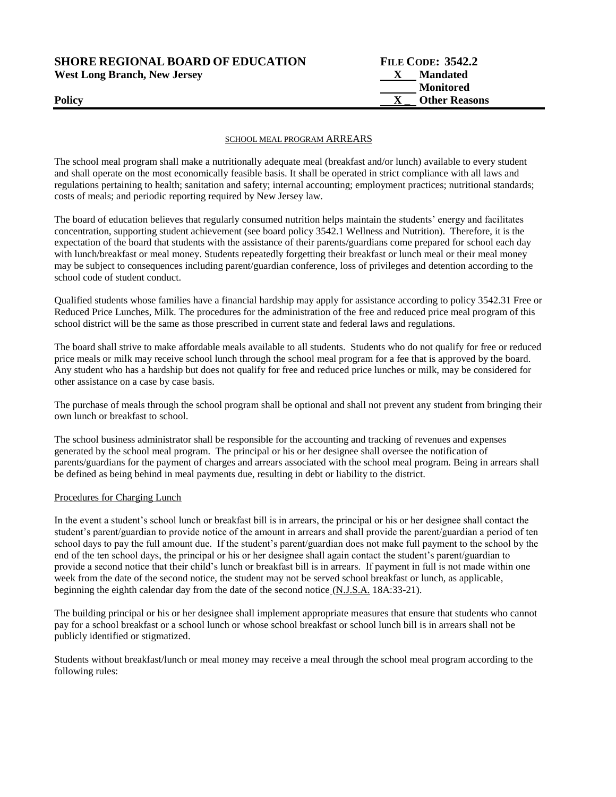**SHORE REGIONAL BOARD OF EDUCATION** 

| <b>SHORE REGIONAL BOARD OF EDUCATION</b> | <b>FILE CODE: 3542.2</b> |  |  |
|------------------------------------------|--------------------------|--|--|
| <b>West Long Branch, New Jersey</b>      | <b>Mandated</b>          |  |  |
|                                          | Monitored                |  |  |
| Policy                                   | <b>Other Reasons</b>     |  |  |

### SCHOOL MEAL PROGRAM ARREARS

The school meal program shall make a nutritionally adequate meal (breakfast and/or lunch) available to every student and shall operate on the most economically feasible basis. It shall be operated in strict compliance with all laws and regulations pertaining to health; sanitation and safety; internal accounting; employment practices; nutritional standards; costs of meals; and periodic reporting required by New Jersey law.

The board of education believes that regularly consumed nutrition helps maintain the students' energy and facilitates concentration, supporting student achievement (see board policy 3542.1 Wellness and Nutrition). Therefore, it is the expectation of the board that students with the assistance of their parents/guardians come prepared for school each day with lunch/breakfast or meal money. Students repeatedly forgetting their breakfast or lunch meal or their meal money may be subject to consequences including parent/guardian conference, loss of privileges and detention according to the school code of student conduct.

Qualified students whose families have a financial hardship may apply for assistance according to policy 3542.31 Free or Reduced Price Lunches, Milk. The procedures for the administration of the free and reduced price meal program of this school district will be the same as those prescribed in current state and federal laws and regulations.

The board shall strive to make affordable meals available to all students. Students who do not qualify for free or reduced price meals or milk may receive school lunch through the school meal program for a fee that is approved by the board. Any student who has a hardship but does not qualify for free and reduced price lunches or milk, may be considered for other assistance on a case by case basis.

The purchase of meals through the school program shall be optional and shall not prevent any student from bringing their own lunch or breakfast to school.

The school business administrator shall be responsible for the accounting and tracking of revenues and expenses generated by the school meal program. The principal or his or her designee shall oversee the notification of parents/guardians for the payment of charges and arrears associated with the school meal program. Being in arrears shall be defined as being behind in meal payments due, resulting in debt or liability to the district.

## Procedures for Charging Lunch

In the event a student's school lunch or breakfast bill is in arrears, the principal or his or her designee shall contact the student's parent/guardian to provide notice of the amount in arrears and shall provide the parent/guardian a period of ten school days to pay the full amount due. If the student's parent/guardian does not make full payment to the school by the end of the ten school days, the principal or his or her designee shall again contact the student's parent/guardian to provide a second notice that their child's lunch or breakfast bill is in arrears. If payment in full is not made within one week from the date of the second notice, the student may not be served school breakfast or lunch, as applicable, beginning the eighth calendar day from the date of the second notice (N.J.S.A. 18A:33-21).

The building principal or his or her designee shall implement appropriate measures that ensure that students who cannot pay for a school breakfast or a school lunch or whose school breakfast or school lunch bill is in arrears shall not be publicly identified or stigmatized.

Students without breakfast/lunch or meal money may receive a meal through the school meal program according to the following rules: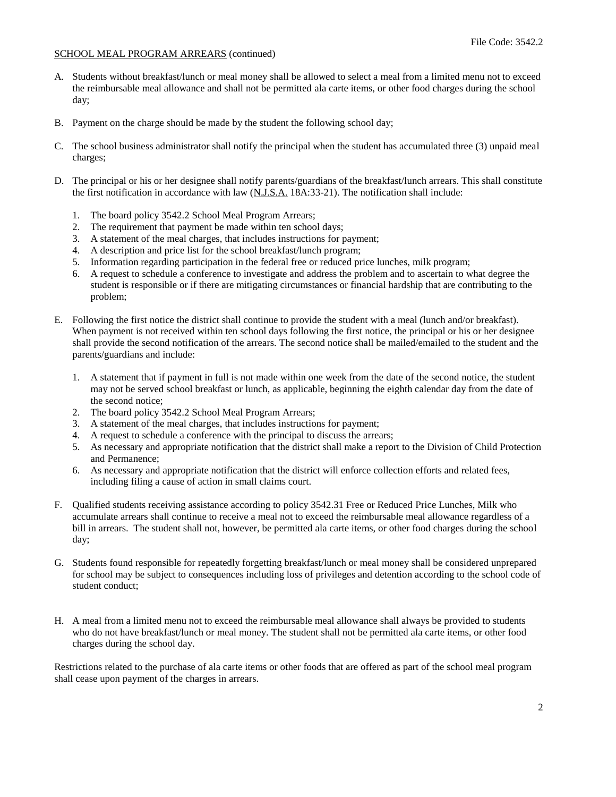# SCHOOL MEAL PROGRAM ARREARS (continued)

- A. Students without breakfast/lunch or meal money shall be allowed to select a meal from a limited menu not to exceed the reimbursable meal allowance and shall not be permitted ala carte items, or other food charges during the school day;
- B. Payment on the charge should be made by the student the following school day;
- C. The school business administrator shall notify the principal when the student has accumulated three (3) unpaid meal charges;
- D. The principal or his or her designee shall notify parents/guardians of the breakfast/lunch arrears. This shall constitute the first notification in accordance with law (N.J.S.A. 18A:33-21). The notification shall include:
	- 1. The board policy 3542.2 School Meal Program Arrears;
	- 2. The requirement that payment be made within ten school days;
	- 3. A statement of the meal charges, that includes instructions for payment;
	- 4. A description and price list for the school breakfast/lunch program;
	- 5. Information regarding participation in the federal free or reduced price lunches, milk program;
	- 6. A request to schedule a conference to investigate and address the problem and to ascertain to what degree the student is responsible or if there are mitigating circumstances or financial hardship that are contributing to the problem;
- E. Following the first notice the district shall continue to provide the student with a meal (lunch and/or breakfast). When payment is not received within ten school days following the first notice, the principal or his or her designee shall provide the second notification of the arrears. The second notice shall be mailed/emailed to the student and the parents/guardians and include:
	- 1. A statement that if payment in full is not made within one week from the date of the second notice, the student may not be served school breakfast or lunch, as applicable, beginning the eighth calendar day from the date of the second notice;
	- 2. The board policy 3542.2 School Meal Program Arrears;
	- 3. A statement of the meal charges, that includes instructions for payment;
	- 4. A request to schedule a conference with the principal to discuss the arrears;
	- 5. As necessary and appropriate notification that the district shall make a report to the Division of Child Protection and Permanence;
	- 6. As necessary and appropriate notification that the district will enforce collection efforts and related fees, including filing a cause of action in small claims court.
- F. Qualified students receiving assistance according to policy 3542.31 Free or Reduced Price Lunches, Milk who accumulate arrears shall continue to receive a meal not to exceed the reimbursable meal allowance regardless of a bill in arrears. The student shall not, however, be permitted ala carte items, or other food charges during the school day;
- G. Students found responsible for repeatedly forgetting breakfast/lunch or meal money shall be considered unprepared for school may be subject to consequences including loss of privileges and detention according to the school code of student conduct;
- H. A meal from a limited menu not to exceed the reimbursable meal allowance shall always be provided to students who do not have breakfast/lunch or meal money. The student shall not be permitted ala carte items, or other food charges during the school day.

Restrictions related to the purchase of ala carte items or other foods that are offered as part of the school meal program shall cease upon payment of the charges in arrears.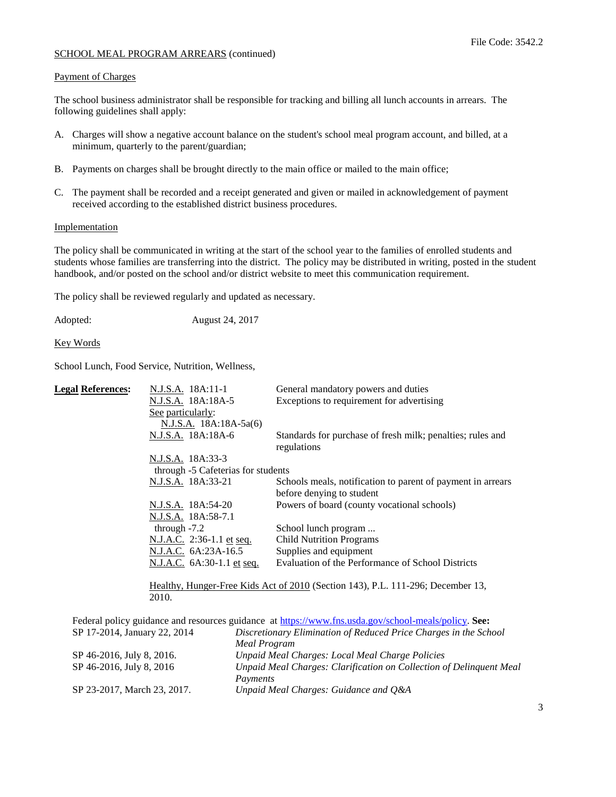# SCHOOL MEAL PROGRAM ARREARS (continued)

# Payment of Charges

The school business administrator shall be responsible for tracking and billing all lunch accounts in arrears. The following guidelines shall apply:

- A. Charges will show a negative account balance on the student's school meal program account, and billed, at a minimum, quarterly to the parent/guardian;
- B. Payments on charges shall be brought directly to the main office or mailed to the main office;
- C. The payment shall be recorded and a receipt generated and given or mailed in acknowledgement of payment received according to the established district business procedures.

# **Implementation**

The policy shall be communicated in writing at the start of the school year to the families of enrolled students and students whose families are transferring into the district. The policy may be distributed in writing, posted in the student handbook, and/or posted on the school and/or district website to meet this communication requirement.

The policy shall be reviewed regularly and updated as necessary.

Adopted: August 24, 2017

Key Words

School Lunch, Food Service, Nutrition, Wellness,

|                                                                                 | <b>Legal References:</b>                                                                             | N.J.S.A. 18A:11-1                  |                     | General mandatory powers and duties                              |
|---------------------------------------------------------------------------------|------------------------------------------------------------------------------------------------------|------------------------------------|---------------------|------------------------------------------------------------------|
|                                                                                 |                                                                                                      | N.J.S.A. 18A:18A-5                 |                     | Exceptions to requirement for advertising                        |
|                                                                                 |                                                                                                      | See particularly:                  |                     |                                                                  |
|                                                                                 |                                                                                                      | N.J.S.A. 18A:18A-5a(6)             |                     |                                                                  |
|                                                                                 |                                                                                                      | N.J.S.A. 18A:18A-6                 |                     | Standards for purchase of fresh milk; penalties; rules and       |
|                                                                                 |                                                                                                      |                                    |                     | regulations                                                      |
|                                                                                 |                                                                                                      | N.J.S.A. 18A:33-3                  |                     |                                                                  |
|                                                                                 |                                                                                                      | through -5 Cafeterias for students |                     |                                                                  |
|                                                                                 |                                                                                                      | N.J.S.A. 18A:33-21                 |                     | Schools meals, notification to parent of payment in arrears      |
|                                                                                 |                                                                                                      |                                    |                     | before denying to student                                        |
|                                                                                 |                                                                                                      | N.J.S.A. 18A:54-20                 |                     | Powers of board (county vocational schools)                      |
|                                                                                 |                                                                                                      | N.J.S.A. 18A:58-7.1                |                     |                                                                  |
|                                                                                 |                                                                                                      | through $-7.2$                     |                     | School lunch program                                             |
|                                                                                 |                                                                                                      | N.J.A.C. 2:36-1.1 et seq.          |                     | <b>Child Nutrition Programs</b>                                  |
|                                                                                 |                                                                                                      | N.J.A.C. 6A:23A-16.5               |                     | Supplies and equipment                                           |
|                                                                                 |                                                                                                      | N.J.A.C. 6A:30-1.1 et seq.         |                     | Evaluation of the Performance of School Districts                |
|                                                                                 |                                                                                                      |                                    |                     |                                                                  |
| Healthy, Hunger-Free Kids Act of 2010 (Section 143), P.L. 111-296; December 13, |                                                                                                      |                                    |                     |                                                                  |
|                                                                                 |                                                                                                      | 2010.                              |                     |                                                                  |
|                                                                                 |                                                                                                      |                                    |                     |                                                                  |
|                                                                                 | Federal policy guidance and resources guidance at https://www.fns.usda.gov/school-meals/policy. See: |                                    |                     |                                                                  |
|                                                                                 | SP 17-2014, January 22, 2014                                                                         |                                    |                     | Discretionary Elimination of Reduced Price Charges in the School |
|                                                                                 |                                                                                                      |                                    | <b>Meal Program</b> |                                                                  |
|                                                                                 |                                                                                                      |                                    |                     |                                                                  |

| SP 46-2016, July 8, 2016.   | Unpaid Meal Charges: Local Meal Charge Policies                     |
|-----------------------------|---------------------------------------------------------------------|
| SP 46-2016, July 8, 2016    | Unpaid Meal Charges: Clarification on Collection of Delinquent Meal |
|                             | Payments                                                            |
| SP 23-2017, March 23, 2017. | Unpaid Meal Charges: Guidance and O&A                               |